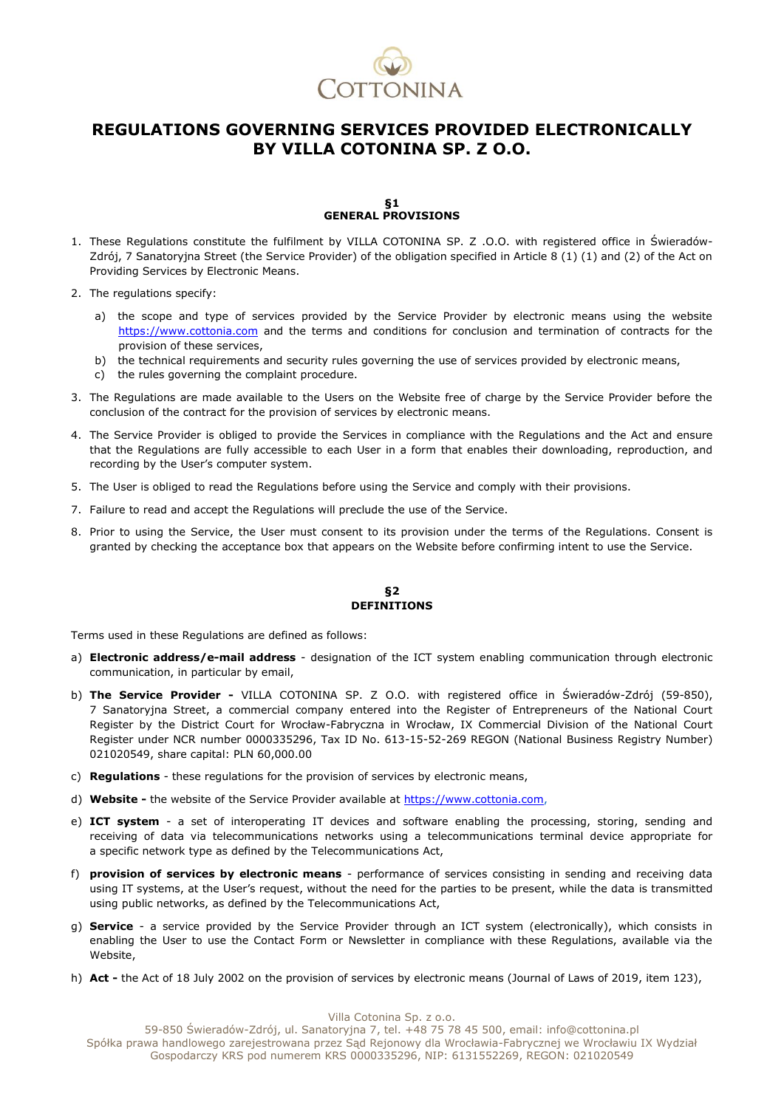

# **REGULATIONS GOVERNING SERVICES PROVIDED ELECTRONICALLY BY VILLA COTONINA SP. Z O.O.**

#### **§1 GENERAL PROVISIONS**

- 1. These Regulations constitute the fulfilment by VILLA COTONINA SP. Z .O.O. with registered office in Świeradów-Zdrój, 7 Sanatoryjna Street (the Service Provider) of the obligation specified in Article 8 (1) (1) and (2) of the Act on Providing Services by Electronic Means.
- 2. The regulations specify:
	- a) the scope and type of services provided by the Service Provider by electronic means using the website https://www.cottonia.com and the terms and conditions for conclusion and termination of contracts for the provision of these services,
	- b) the technical requirements and security rules governing the use of services provided by electronic means,
	- c) the rules governing the complaint procedure.
- 3. The Regulations are made available to the Users on the Website free of charge by the Service Provider before the conclusion of the contract for the provision of services by electronic means.
- 4. The Service Provider is obliged to provide the Services in compliance with the Regulations and the Act and ensure that the Regulations are fully accessible to each User in a form that enables their downloading, reproduction, and recording by the User's computer system.
- 5. The User is obliged to read the Regulations before using the Service and comply with their provisions.
- 7. Failure to read and accept the Regulations will preclude the use of the Service.
- 8. Prior to using the Service, the User must consent to its provision under the terms of the Regulations. Consent is granted by checking the acceptance box that appears on the Website before confirming intent to use the Service.

#### **§2 DEFINITIONS**

Terms used in these Regulations are defined as follows:

- a) **Electronic address/e-mail address**  designation of the ICT system enabling communication through electronic communication, in particular by email,
- b) **The Service Provider -** VILLA COTONINA SP. Z O.O. with registered office in Świeradów-Zdrój (59-850), 7 Sanatoryjna Street, a commercial company entered into the Register of Entrepreneurs of the National Court Register by the District Court for Wrocław-Fabryczna in Wrocław, IX Commercial Division of the National Court Register under NCR number 0000335296, Tax ID No. 613-15-52-269 REGON (National Business Registry Number) 021020549, share capital: PLN 60,000.00
- c) **Regulations**  these regulations for the provision of services by electronic means,
- d) **Website -** the website of the Service Provider available a[t https://www.cottonia.com,](https://www.cottonia.com/)
- e) **ICT system**  a set of interoperating IT devices and software enabling the processing, storing, sending and receiving of data via telecommunications networks using a telecommunications terminal device appropriate for a specific network type as defined by the Telecommunications Act,
- f) **provision of services by electronic means** performance of services consisting in sending and receiving data using IT systems, at the User's request, without the need for the parties to be present, while the data is transmitted using public networks, as defined by the Telecommunications Act,
- g) **Service** a service provided by the Service Provider through an ICT system (electronically), which consists in enabling the User to use the Contact Form or Newsletter in compliance with these Regulations, available via the Website,
- h) **Act -** the Act of 18 July 2002 on the provision of services by electronic means (Journal of Laws of 2019, item 123),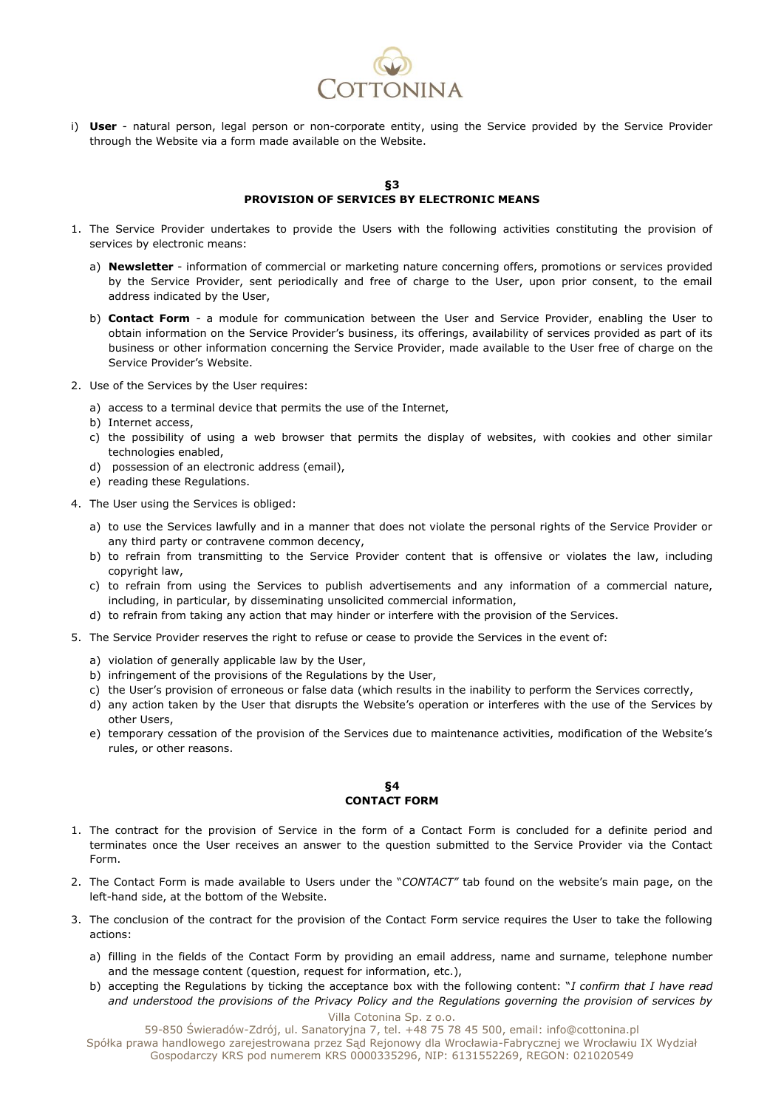

i) **User** - natural person, legal person or non-corporate entity, using the Service provided by the Service Provider through the Website via a form made available on the Website.

#### **§3 PROVISION OF SERVICES BY ELECTRONIC MEANS**

- 1. The Service Provider undertakes to provide the Users with the following activities constituting the provision of services by electronic means:
	- a) **Newsletter**  information of commercial or marketing nature concerning offers, promotions or services provided by the Service Provider, sent periodically and free of charge to the User, upon prior consent, to the email address indicated by the User,
	- b) **Contact Form** a module for communication between the User and Service Provider, enabling the User to obtain information on the Service Provider's business, its offerings, availability of services provided as part of its business or other information concerning the Service Provider, made available to the User free of charge on the Service Provider's Website.
- 2. Use of the Services by the User requires:
	- a) access to a terminal device that permits the use of the Internet,
	- b) Internet access,
	- c) the possibility of using a web browser that permits the display of websites, with cookies and other similar technologies enabled,
	- d) possession of an electronic address (email),
	- e) reading these Regulations.
- 4. The User using the Services is obliged:
	- a) to use the Services lawfully and in a manner that does not violate the personal rights of the Service Provider or any third party or contravene common decency,
	- b) to refrain from transmitting to the Service Provider content that is offensive or violates the law, including copyright law,
	- c) to refrain from using the Services to publish advertisements and any information of a commercial nature, including, in particular, by disseminating unsolicited commercial information,
	- d) to refrain from taking any action that may hinder or interfere with the provision of the Services.
- 5. The Service Provider reserves the right to refuse or cease to provide the Services in the event of:
	- a) violation of generally applicable law by the User,
	- b) infringement of the provisions of the Regulations by the User,
	- c) the User's provision of erroneous or false data (which results in the inability to perform the Services correctly,
	- d) any action taken by the User that disrupts the Website's operation or interferes with the use of the Services by other Users,
	- e) temporary cessation of the provision of the Services due to maintenance activities, modification of the Website's rules, or other reasons.

#### **§4 CONTACT FORM**

- 1. The contract for the provision of Service in the form of a Contact Form is concluded for a definite period and terminates once the User receives an answer to the question submitted to the Service Provider via the Contact Form.
- 2. The Contact Form is made available to Users under the "*CONTACT"* tab found on the website's main page, on the left-hand side, at the bottom of the Website.
- 3. The conclusion of the contract for the provision of the Contact Form service requires the User to take the following actions:
	- a) filling in the fields of the Contact Form by providing an email address, name and surname, telephone number and the message content (question, request for information, etc.),
	- Villa Cotonina Sp. z o.o. b) accepting the Regulations by ticking the acceptance box with the following content: "*I confirm that I have read and understood the provisions of the Privacy Policy and the Regulations governing the provision of services by*

59-850 Świeradów-Zdrój, ul. Sanatoryjna 7, tel. +48 75 78 45 500, email: info@cottonina.pl Spółka prawa handlowego zarejestrowana przez Sąd Rejonowy dla Wrocławia-Fabrycznej we Wrocławiu IX Wydział Gospodarczy KRS pod numerem KRS 0000335296, NIP: 6131552269, REGON: 021020549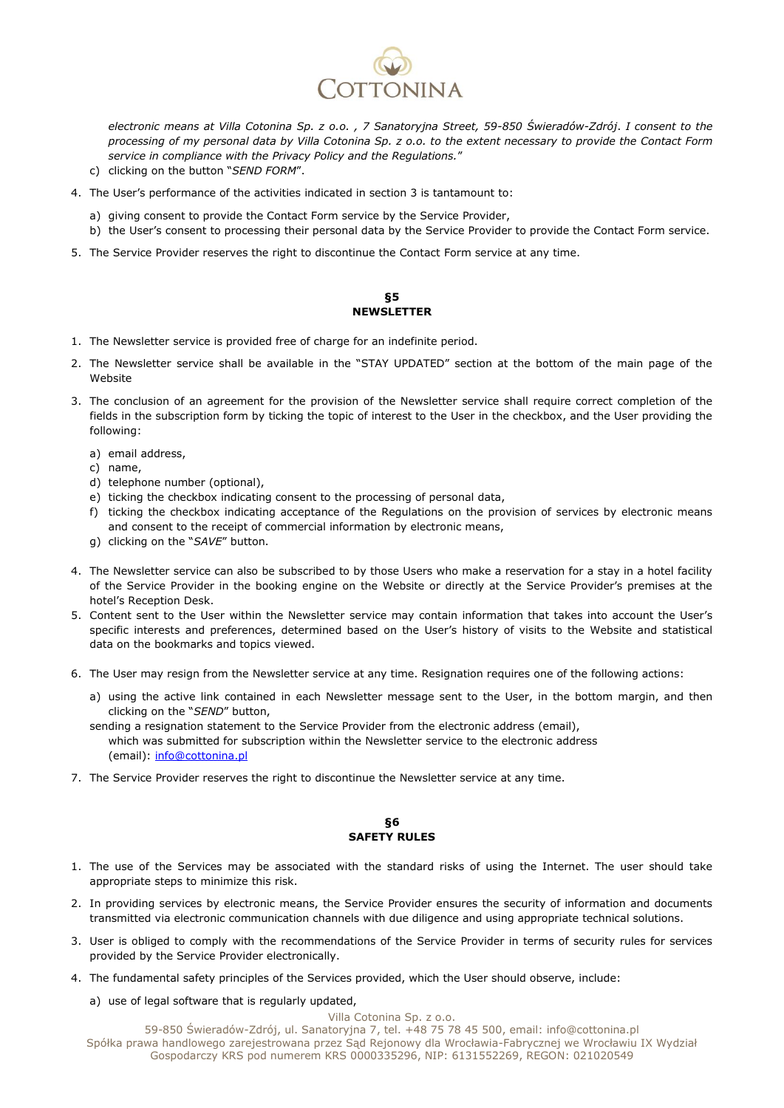

*electronic means at Villa Cotonina Sp. z o.o. , 7 Sanatoryjna Street, 59-850 Świeradów-Zdrój*. *I consent to the processing of my personal data by Villa Cotonina Sp. z o.o. to the extent necessary to provide the Contact Form service in compliance with the Privacy Policy and the Regulations.*"

- c) clicking on the button "*SEND FORM*".
- 4. The User's performance of the activities indicated in section 3 is tantamount to:
	- a) giving consent to provide the Contact Form service by the Service Provider,
	- b) the User's consent to processing their personal data by the Service Provider to provide the Contact Form service.
- 5. The Service Provider reserves the right to discontinue the Contact Form service at any time.

## **§5 NEWSLETTER**

- 1. The Newsletter service is provided free of charge for an indefinite period.
- 2. The Newsletter service shall be available in the "STAY UPDATED" section at the bottom of the main page of the Website
- 3. The conclusion of an agreement for the provision of the Newsletter service shall require correct completion of the fields in the subscription form by ticking the topic of interest to the User in the checkbox, and the User providing the following:
	- a) email address,
	- c) name,
	- d) telephone number (optional),
	- e) ticking the checkbox indicating consent to the processing of personal data,
	- f) ticking the checkbox indicating acceptance of the Regulations on the provision of services by electronic means and consent to the receipt of commercial information by electronic means,
	- g) clicking on the "*SAVE*" button.
- 4. The Newsletter service can also be subscribed to by those Users who make a reservation for a stay in a hotel facility of the Service Provider in the booking engine on the Website or directly at the Service Provider's premises at the hotel's Reception Desk.
- 5. Content sent to the User within the Newsletter service may contain information that takes into account the User's specific interests and preferences, determined based on the User's history of visits to the Website and statistical data on the bookmarks and topics viewed.
- 6. The User may resign from the Newsletter service at any time. Resignation requires one of the following actions:
	- a) using the active link contained in each Newsletter message sent to the User, in the bottom margin, and then clicking on the "*SEND*" button,
	- sending a resignation statement to the Service Provider from the electronic address (email), which was submitted for subscription within the Newsletter service to the electronic address (email): [info@cottonina.pl](mailto:info@cottonina.pl)
- 7. The Service Provider reserves the right to discontinue the Newsletter service at any time.

#### **§6 SAFETY RULES**

- 1. The use of the Services may be associated with the standard risks of using the Internet. The user should take appropriate steps to minimize this risk.
- 2. In providing services by electronic means, the Service Provider ensures the security of information and documents transmitted via electronic communication channels with due diligence and using appropriate technical solutions.
- 3. User is obliged to comply with the recommendations of the Service Provider in terms of security rules for services provided by the Service Provider electronically.
- 4. The fundamental safety principles of the Services provided, which the User should observe, include:
	- a) use of legal software that is regularly updated,

Villa Cotonina Sp. z o.o.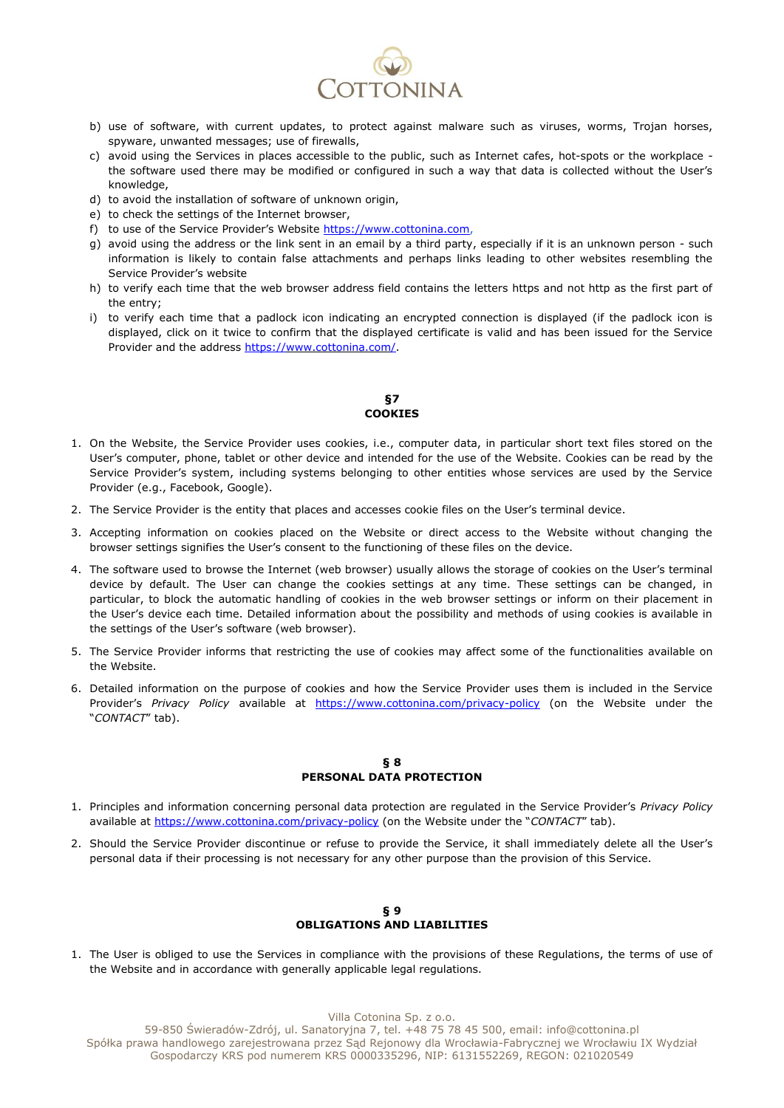

- b) use of software, with current updates, to protect against malware such as viruses, worms, Trojan horses, spyware, unwanted messages; use of firewalls,
- c) avoid using the Services in places accessible to the public, such as Internet cafes, hot-spots or the workplace the software used there may be modified or configured in such a way that data is collected without the User's knowledge,
- d) to avoid the installation of software of unknown origin,
- e) to check the settings of the Internet browser,
- f) to use of the Service Provider's Website [https://www.cottonina.com,](https://www.cottonina.com/)
- g) avoid using the address or the link sent in an email by a third party, especially if it is an unknown person such information is likely to contain false attachments and perhaps links leading to other websites resembling the Service Provider's website
- h) to verify each time that the web browser address field contains the letters https and not http as the first part of the entry;
- i) to verify each time that a padlock icon indicating an encrypted connection is displayed (if the padlock icon is displayed, click on it twice to confirm that the displayed certificate is valid and has been issued for the Service Provider and the address [https://www.cottonina.com/.](https://www.cottonina.com/)

## **§7 COOKIES**

- 1. On the Website, the Service Provider uses cookies, i.e., computer data, in particular short text files stored on the User's computer, phone, tablet or other device and intended for the use of the Website. Cookies can be read by the Service Provider's system, including systems belonging to other entities whose services are used by the Service Provider (e.g., Facebook, Google).
- 2. The Service Provider is the entity that places and accesses cookie files on the User's terminal device.
- 3. Accepting information on cookies placed on the Website or direct access to the Website without changing the browser settings signifies the User's consent to the functioning of these files on the device.
- 4. The software used to browse the Internet (web browser) usually allows the storage of cookies on the User's terminal device by default. The User can change the cookies settings at any time. These settings can be changed, in particular, to block the automatic handling of cookies in the web browser settings or inform on their placement in the User's device each time. Detailed information about the possibility and methods of using cookies is available in the settings of the User's software (web browser).
- 5. The Service Provider informs that restricting the use of cookies may affect some of the functionalities available on the Website.
- 6. Detailed information on the purpose of cookies and how the Service Provider uses them is included in the Service Provider's *Privacy Policy* available at <https://www.cottonina.com/privacy-policy> (on the Website under the "*CONTACT*" tab).

### **§ 8 PERSONAL DATA PROTECTION**

- 1. Principles and information concerning personal data protection are regulated in the Service Provider's *Privacy Policy*  available at<https://www.cottonina.com/privacy-policy> (on the Website under the "*CONTACT*" tab).
- 2. Should the Service Provider discontinue or refuse to provide the Service, it shall immediately delete all the User's personal data if their processing is not necessary for any other purpose than the provision of this Service.

#### **§ 9 OBLIGATIONS AND LIABILITIES**

1. The User is obliged to use the Services in compliance with the provisions of these Regulations, the terms of use of the Website and in accordance with generally applicable legal regulations.